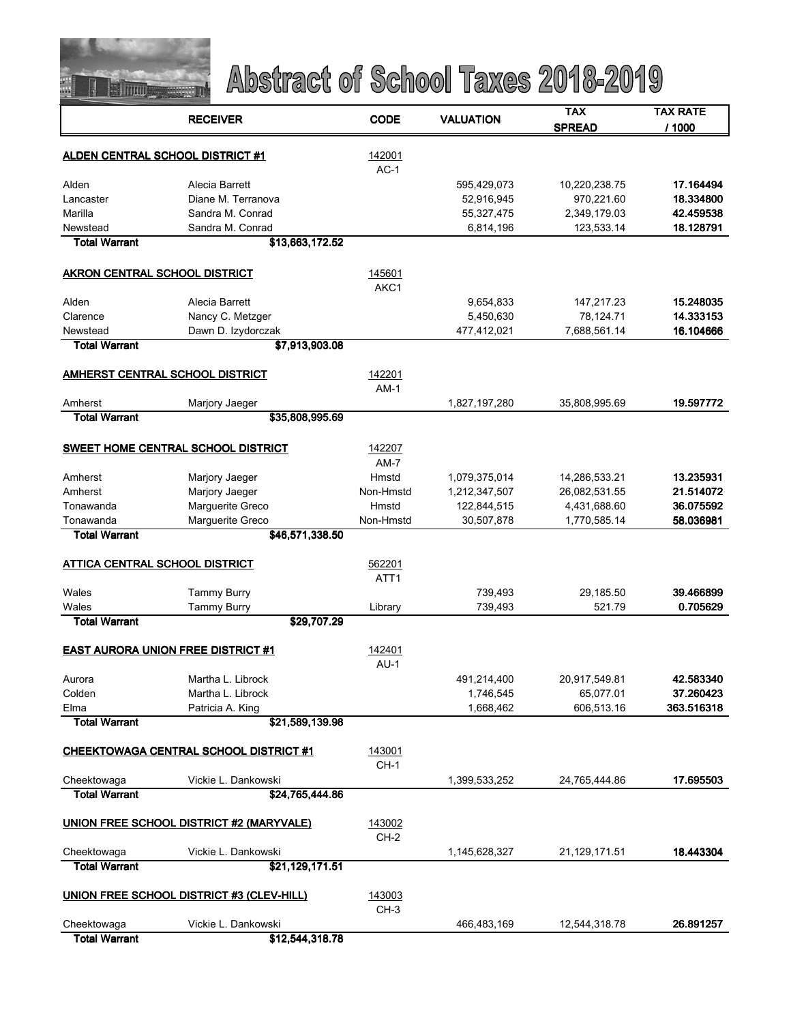

|                                | <b>RECEIVER</b>                               | <b>CODE</b>      | <b>VALUATION</b> | TAX           | TAX RATE   |
|--------------------------------|-----------------------------------------------|------------------|------------------|---------------|------------|
|                                |                                               |                  |                  | <b>SPREAD</b> | / 1000     |
|                                |                                               |                  |                  |               |            |
|                                | <b>ALDEN CENTRAL SCHOOL DISTRICT #1</b>       | 142001           |                  |               |            |
|                                |                                               | $AC-1$           |                  |               |            |
| Alden                          | Alecia Barrett                                |                  | 595,429,073      | 10,220,238.75 | 17.164494  |
| Lancaster                      | Diane M. Terranova                            |                  | 52,916,945       | 970,221.60    | 18.334800  |
| Marilla                        | Sandra M. Conrad                              |                  | 55,327,475       | 2,349,179.03  | 42.459538  |
| Newstead                       | Sandra M. Conrad                              |                  | 6,814,196        | 123,533.14    | 18.128791  |
| <b>Total Warrant</b>           | \$13,663,172.52                               |                  |                  |               |            |
|                                |                                               |                  |                  |               |            |
| AKRON CENTRAL SCHOOL DISTRICT  |                                               | 145601           |                  |               |            |
|                                |                                               | AKC1             |                  |               |            |
| Alden                          | Alecia Barrett                                |                  | 9,654,833        | 147,217.23    | 15.248035  |
| Clarence                       | Nancy C. Metzger                              |                  | 5,450,630        | 78,124.71     | 14.333153  |
| Newstead                       | Dawn D. Izydorczak                            |                  | 477,412,021      | 7,688,561.14  | 16.104666  |
| <b>Total Warrant</b>           | \$7,913,903.08                                |                  |                  |               |            |
|                                |                                               |                  |                  |               |            |
|                                | <b>AMHERST CENTRAL SCHOOL DISTRICT</b>        | 142201           |                  |               |            |
|                                |                                               | $AM-1$           |                  |               |            |
| Amherst                        | Marjory Jaeger                                |                  | 1,827,197,280    | 35,808,995.69 | 19.597772  |
| <b>Total Warrant</b>           | \$35,808,995.69                               |                  |                  |               |            |
|                                |                                               |                  |                  |               |            |
|                                | <b>SWEET HOME CENTRAL SCHOOL DISTRICT</b>     | 142207           |                  |               |            |
|                                |                                               | $AM-7$           |                  |               |            |
| Amherst                        | Marjory Jaeger                                | Hmstd            | 1,079,375,014    | 14,286,533.21 | 13.235931  |
| Amherst                        | Marjory Jaeger                                | Non-Hmstd        | 1,212,347,507    | 26,082,531.55 | 21.514072  |
|                                |                                               |                  |                  |               |            |
| Tonawanda                      | Marguerite Greco                              | Hmstd            | 122,844,515      | 4,431,688.60  | 36.075592  |
| Tonawanda                      | Marguerite Greco                              | Non-Hmstd        | 30,507,878       | 1,770,585.14  | 58.036981  |
| <b>Total Warrant</b>           | \$46,571,338.50                               |                  |                  |               |            |
|                                |                                               |                  |                  |               |            |
| ATTICA CENTRAL SCHOOL DISTRICT |                                               | 562201           |                  |               |            |
|                                |                                               | ATT <sub>1</sub> |                  |               |            |
| Wales                          | <b>Tammy Burry</b>                            |                  | 739,493          | 29,185.50     | 39.466899  |
| Wales                          | <b>Tammy Burry</b>                            | Library          | 739,493          | 521.79        | 0.705629   |
| <b>Total Warrant</b>           | \$29,707.29                                   |                  |                  |               |            |
|                                |                                               |                  |                  |               |            |
|                                | <b>EAST AURORA UNION FREE DISTRICT #1</b>     | 142401           |                  |               |            |
|                                |                                               | $AU-1$           |                  |               |            |
| Aurora                         | Martha L. Librock                             |                  | 491,214,400      | 20,917,549.81 | 42.583340  |
| Colden                         | Martha L. Librock                             |                  | 1,746,545        | 65,077.01     | 37.260423  |
| Elma                           | Patricia A. King                              |                  | 1,668,462        | 606,513.16    | 363.516318 |
| <b>Total Warrant</b>           | \$21,589,139.98                               |                  |                  |               |            |
|                                |                                               |                  |                  |               |            |
|                                | <b>CHEEKTOWAGA CENTRAL SCHOOL DISTRICT #1</b> | 143001           |                  |               |            |
|                                |                                               | $CH-1$           |                  |               |            |
| Cheektowaga                    | Vickie L. Dankowski                           |                  | 1,399,533,252    | 24,765,444.86 | 17.695503  |
| <b>Total Warrant</b>           | \$24,765,444.86                               |                  |                  |               |            |
|                                |                                               |                  |                  |               |            |
|                                | UNION FREE SCHOOL DISTRICT #2 (MARYVALE)      | 143002           |                  |               |            |
|                                |                                               | $CH-2$           |                  |               |            |
| Cheektowaga                    | Vickie L. Dankowski                           |                  | 1,145,628,327    | 21,129,171.51 | 18.443304  |
| <b>Total Warrant</b>           | \$21,129,171.51                               |                  |                  |               |            |
|                                |                                               |                  |                  |               |            |
|                                | UNION FREE SCHOOL DISTRICT #3 (CLEV-HILL)     | 143003           |                  |               |            |
|                                |                                               | $CH-3$           |                  |               |            |
| Cheektowaga                    | Vickie L. Dankowski                           |                  | 466,483,169      | 12,544,318.78 | 26.891257  |
| <b>Total Warrant</b>           | \$12,544,318.78                               |                  |                  |               |            |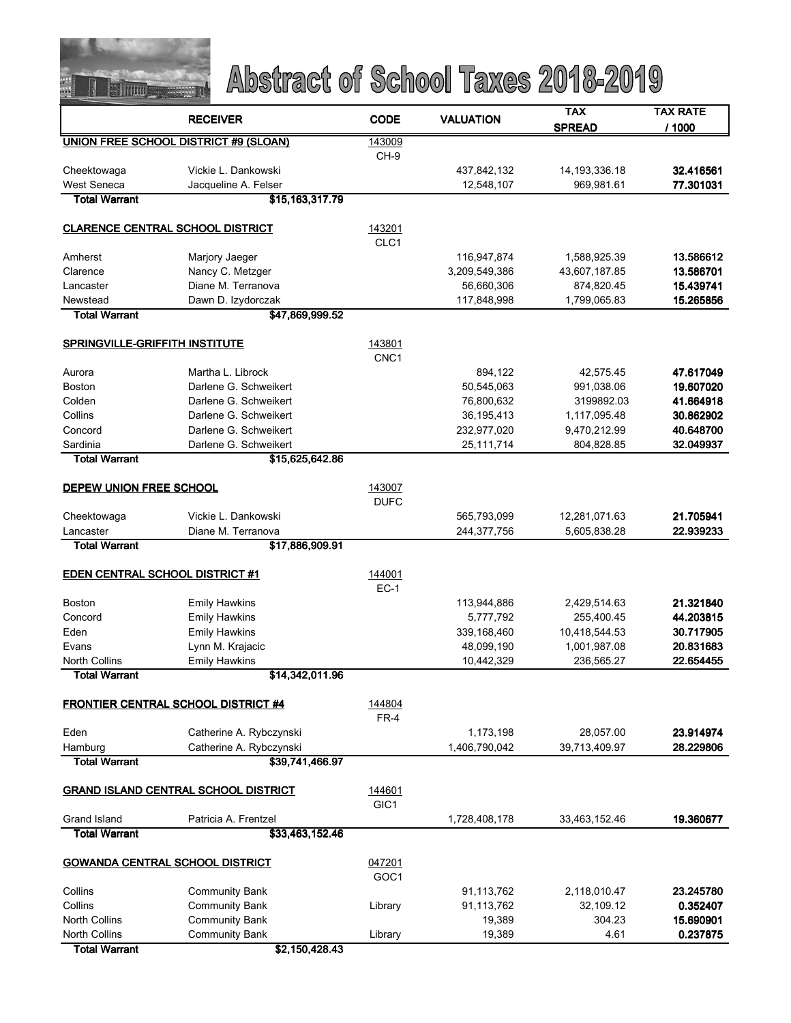

|                                         | <b>RECEIVER</b>                              | <b>CODE</b>                | <b>VALUATION</b>           | <b>TAX</b>                     | <b>TAX RATE</b>        |
|-----------------------------------------|----------------------------------------------|----------------------------|----------------------------|--------------------------------|------------------------|
|                                         |                                              |                            |                            | <b>SPREAD</b>                  | / 1000                 |
|                                         | <b>UNION FREE SCHOOL DISTRICT #9 (SLOAN)</b> | 143009                     |                            |                                |                        |
|                                         |                                              | CH-9                       |                            |                                |                        |
| Cheektowaga<br><b>West Seneca</b>       | Vickie L. Dankowski<br>Jacqueline A. Felser  |                            | 437,842,132<br>12,548,107  | 14, 193, 336. 18<br>969,981.61 | 32.416561<br>77.301031 |
| <b>Total Warrant</b>                    | \$15,163,317.79                              |                            |                            |                                |                        |
|                                         |                                              |                            |                            |                                |                        |
| <b>CLARENCE CENTRAL SCHOOL DISTRICT</b> |                                              | 143201                     |                            |                                |                        |
|                                         |                                              | CLC1                       |                            |                                |                        |
| Amherst                                 | Marjory Jaeger                               |                            | 116,947,874                | 1,588,925.39                   | 13.586612              |
| Clarence                                | Nancy C. Metzger                             |                            | 3,209,549,386              | 43,607,187.85                  | 13.586701              |
| Lancaster                               | Diane M. Terranova                           |                            | 56,660,306                 | 874,820.45                     | 15.439741              |
| Newstead                                | Dawn D. Izydorczak                           |                            | 117,848,998                | 1,799,065.83                   | 15.265856              |
| <b>Total Warrant</b>                    | \$47,869,999.52                              |                            |                            |                                |                        |
|                                         |                                              |                            |                            |                                |                        |
| <b>SPRINGVILLE-GRIFFITH INSTITUTE</b>   |                                              | 143801<br>CNC <sub>1</sub> |                            |                                |                        |
| Aurora                                  | Martha L. Librock                            |                            | 894,122                    | 42,575.45                      | 47.617049              |
| <b>Boston</b>                           | Darlene G. Schweikert                        |                            | 50,545,063                 | 991,038.06                     | 19.607020              |
| Colden                                  | Darlene G. Schweikert                        |                            | 76,800,632                 | 3199892.03                     | 41.664918              |
| Collins                                 | Darlene G. Schweikert                        |                            | 36,195,413                 | 1,117,095.48                   | 30.862902              |
| Concord                                 | Darlene G. Schweikert                        |                            | 232,977,020                | 9,470,212.99                   | 40.648700              |
| Sardinia                                | Darlene G. Schweikert                        |                            | 25,111,714                 | 804,828.85                     | 32.049937              |
| <b>Total Warrant</b>                    | \$15,625,642.86                              |                            |                            |                                |                        |
|                                         |                                              |                            |                            |                                |                        |
| <b>DEPEW UNION FREE SCHOOL</b>          |                                              | 143007                     |                            |                                |                        |
|                                         | Vickie L. Dankowski                          | <b>DUFC</b>                |                            |                                |                        |
| Cheektowaga<br>Lancaster                | Diane M. Terranova                           |                            | 565,793,099<br>244,377,756 | 12,281,071.63<br>5,605,838.28  | 21.705941<br>22.939233 |
| <b>Total Warrant</b>                    | \$17,886,909.91                              |                            |                            |                                |                        |
|                                         |                                              |                            |                            |                                |                        |
| <b>EDEN CENTRAL SCHOOL DISTRICT #1</b>  |                                              | 144001                     |                            |                                |                        |
|                                         |                                              | $EC-1$                     |                            |                                |                        |
| <b>Boston</b>                           | <b>Emily Hawkins</b>                         |                            | 113,944,886                | 2,429,514.63                   | 21.321840              |
| Concord                                 | <b>Emily Hawkins</b>                         |                            | 5,777,792                  | 255,400.45                     | 44.203815              |
| Eden                                    | <b>Emily Hawkins</b>                         |                            | 339,168,460                | 10,418,544.53                  | 30.717905              |
| Evans                                   | Lynn M. Krajacic                             |                            | 48,099,190                 | 1,001,987.08                   | 20.831683              |
| <b>North Collins</b>                    | <b>Emily Hawkins</b>                         |                            | 10,442,329                 | 236,565.27                     | 22.654455              |
| <b>Total Warrant</b>                    | \$14,342,011.96                              |                            |                            |                                |                        |
|                                         | <b>FRONTIER CENTRAL SCHOOL DISTRICT #4</b>   | 144804                     |                            |                                |                        |
|                                         |                                              | $FR-4$                     |                            |                                |                        |
| Eden                                    | Catherine A. Rybczynski                      |                            | 1,173,198                  | 28,057.00                      | 23.914974              |
| Hamburg                                 | Catherine A. Rybczynski                      |                            | 1,406,790,042              | 39,713,409.97                  | 28.229806              |
| <b>Total Warrant</b>                    | \$39,741,466.97                              |                            |                            |                                |                        |
|                                         |                                              |                            |                            |                                |                        |
|                                         | <b>GRAND ISLAND CENTRAL SCHOOL DISTRICT</b>  | 144601                     |                            |                                |                        |
|                                         |                                              | GIC <sub>1</sub>           |                            |                                |                        |
| Grand Island                            | Patricia A. Frentzel                         |                            | 1,728,408,178              | 33,463,152.46                  | 19.360677              |
| <b>Total Warrant</b>                    | \$33,463,152.46                              |                            |                            |                                |                        |
| <b>GOWANDA CENTRAL SCHOOL DISTRICT</b>  |                                              | 047201                     |                            |                                |                        |
|                                         |                                              | GOC <sub>1</sub>           |                            |                                |                        |
| Collins                                 | <b>Community Bank</b>                        |                            | 91,113,762                 | 2,118,010.47                   | 23.245780              |
| Collins                                 | <b>Community Bank</b>                        | Library                    | 91,113,762                 | 32,109.12                      | 0.352407               |
| <b>North Collins</b>                    | <b>Community Bank</b>                        |                            | 19,389                     | 304.23                         | 15.690901              |
| <b>North Collins</b>                    | <b>Community Bank</b>                        | Library                    | 19,389                     | 4.61                           | 0.237875               |
| <b>Total Warrant</b>                    | \$2,150,428.43                               |                            |                            |                                |                        |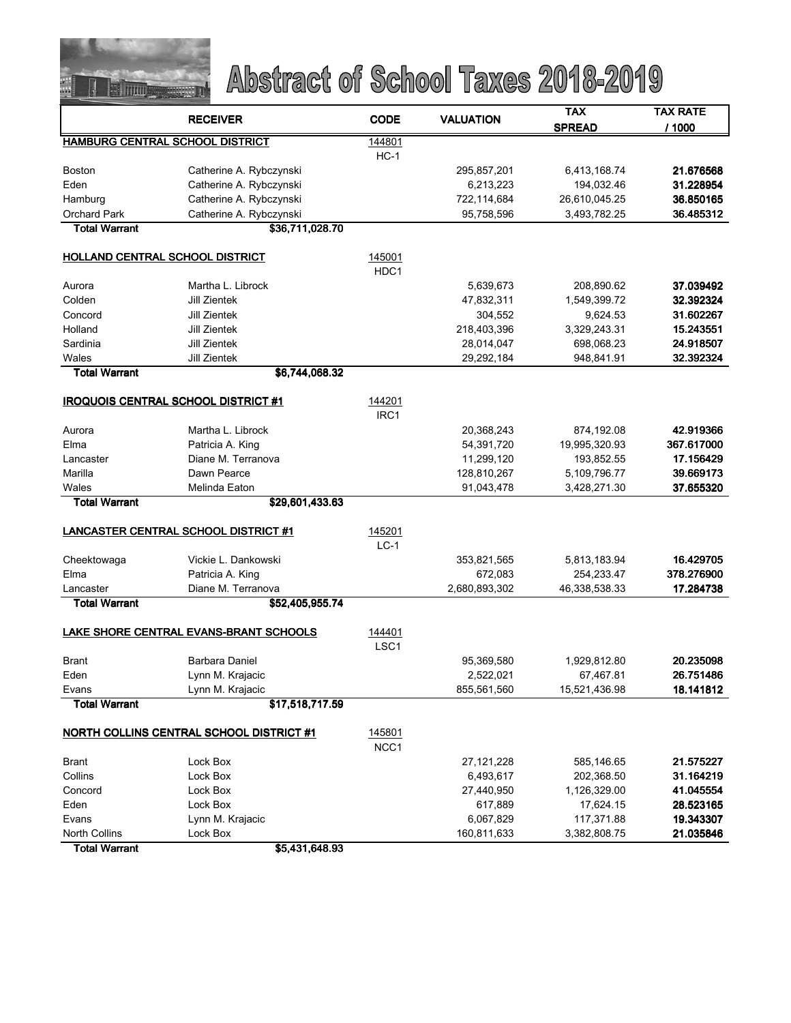

|                                             |                                        | <b>CODE</b>      | <b>VALUATION</b> | <b>TAX</b>    | <b>TAX RATE</b> |
|---------------------------------------------|----------------------------------------|------------------|------------------|---------------|-----------------|
|                                             | <b>RECEIVER</b>                        |                  |                  | <b>SPREAD</b> | / 1000          |
|                                             | HAMBURG CENTRAL SCHOOL DISTRICT        | 144801           |                  |               |                 |
|                                             |                                        | $HC-1$           |                  |               |                 |
| <b>Boston</b>                               | Catherine A. Rybczynski                |                  | 295,857,201      | 6,413,168.74  | 21.676568       |
| Eden                                        | Catherine A. Rybczynski                |                  | 6,213,223        | 194,032.46    | 31.228954       |
| Hamburg                                     | Catherine A. Rybczynski                |                  | 722,114,684      | 26,610,045.25 | 36.850165       |
| <b>Orchard Park</b>                         | Catherine A. Rybczynski                |                  | 95,758,596       | 3,493,782.25  | 36.485312       |
| <b>Total Warrant</b>                        | \$36,711,028.70                        |                  |                  |               |                 |
| HOLLAND CENTRAL SCHOOL DISTRICT             |                                        | 145001           |                  |               |                 |
|                                             |                                        | HDC1             |                  |               |                 |
| Aurora                                      | Martha L. Librock                      |                  | 5,639,673        | 208,890.62    | 37.039492       |
| Colden                                      | Jill Zientek                           |                  | 47,832,311       | 1,549,399.72  | 32.392324       |
| Concord                                     | Jill Zientek                           |                  | 304,552          | 9,624.53      | 31.602267       |
| Holland                                     | Jill Zientek                           |                  | 218,403,396      | 3,329,243.31  | 15.243551       |
| Sardinia                                    | Jill Zientek                           |                  | 28,014,047       | 698,068.23    | 24.918507       |
| Wales                                       | Jill Zientek                           |                  | 29,292,184       | 948,841.91    | 32.392324       |
| <b>Total Warrant</b>                        | \$6,744,068.32                         |                  |                  |               |                 |
| <b>IROQUOIS CENTRAL SCHOOL DISTRICT #1</b>  |                                        | 144201           |                  |               |                 |
|                                             |                                        | IRC <sub>1</sub> |                  |               |                 |
| Aurora                                      | Martha L. Librock                      |                  | 20,368,243       | 874,192.08    | 42.919366       |
| Elma                                        | Patricia A. King                       |                  | 54,391,720       | 19,995,320.93 | 367.617000      |
| Lancaster                                   | Diane M. Terranova                     |                  | 11,299,120       | 193,852.55    | 17.156429       |
| Marilla                                     | Dawn Pearce                            |                  | 128,810,267      | 5,109,796.77  | 39.669173       |
| Wales                                       | Melinda Eaton                          |                  | 91,043,478       | 3,428,271.30  | 37 655320       |
| <b>Total Warrant</b>                        | \$29,601,433.63                        |                  |                  |               |                 |
|                                             |                                        |                  |                  |               |                 |
| <b>LANCASTER CENTRAL SCHOOL DISTRICT #1</b> |                                        | 145201           |                  |               |                 |
|                                             |                                        | $LC-1$           |                  |               |                 |
| Cheektowaga                                 | Vickie L. Dankowski                    |                  | 353,821,565      | 5,813,183.94  | 16.429705       |
| Elma                                        | Patricia A. King                       |                  | 672,083          | 254,233.47    | 378.276900      |
| Lancaster                                   | Diane M. Terranova                     |                  | 2,680,893,302    | 46,338,538.33 | 17.284738       |
| <b>Total Warrant</b>                        | \$52,405,955.74                        |                  |                  |               |                 |
|                                             |                                        |                  |                  |               |                 |
|                                             | LAKE SHORE CENTRAL EVANS-BRANT SCHOOLS | 144401           |                  |               |                 |
|                                             |                                        | LSC <sub>1</sub> |                  |               |                 |
| <b>Brant</b>                                | Barbara Daniel                         |                  | 95,369,580       | 1,929,812.80  | 20.235098       |
| Eden                                        | Lynn M. Krajacic                       |                  | 2,522,021        | 67,467.81     | 26.751486       |
| Evans                                       | Lynn M. Krajacic                       |                  | 855,561,560      | 15,521,436.98 | 18.141812       |
| <b>Total Warrant</b>                        | \$17,518,717.59                        |                  |                  |               |                 |
| NORTH COLLINS CENTRAL SCHOOL DISTRICT #1    |                                        | 145801           |                  |               |                 |
|                                             |                                        | NCC <sub>1</sub> |                  |               |                 |
| <b>Brant</b>                                | Lock Box                               |                  | 27,121,228       | 585,146.65    | 21.575227       |
| Collins                                     | Lock Box                               |                  | 6,493,617        | 202,368.50    | 31.164219       |
| Concord                                     | Lock Box                               |                  | 27,440,950       | 1,126,329.00  | 41.045554       |
| Eden                                        | Lock Box                               |                  | 617,889          | 17,624.15     | 28.523165       |
| Evans                                       | Lynn M. Krajacic                       |                  | 6,067,829        | 117,371.88    | 19.343307       |
| <b>North Collins</b>                        | Lock Box                               |                  | 160,811,633      | 3,382,808.75  | 21.035846       |
| <b>Total Warrant</b>                        | \$5,431,648.93                         |                  |                  |               |                 |